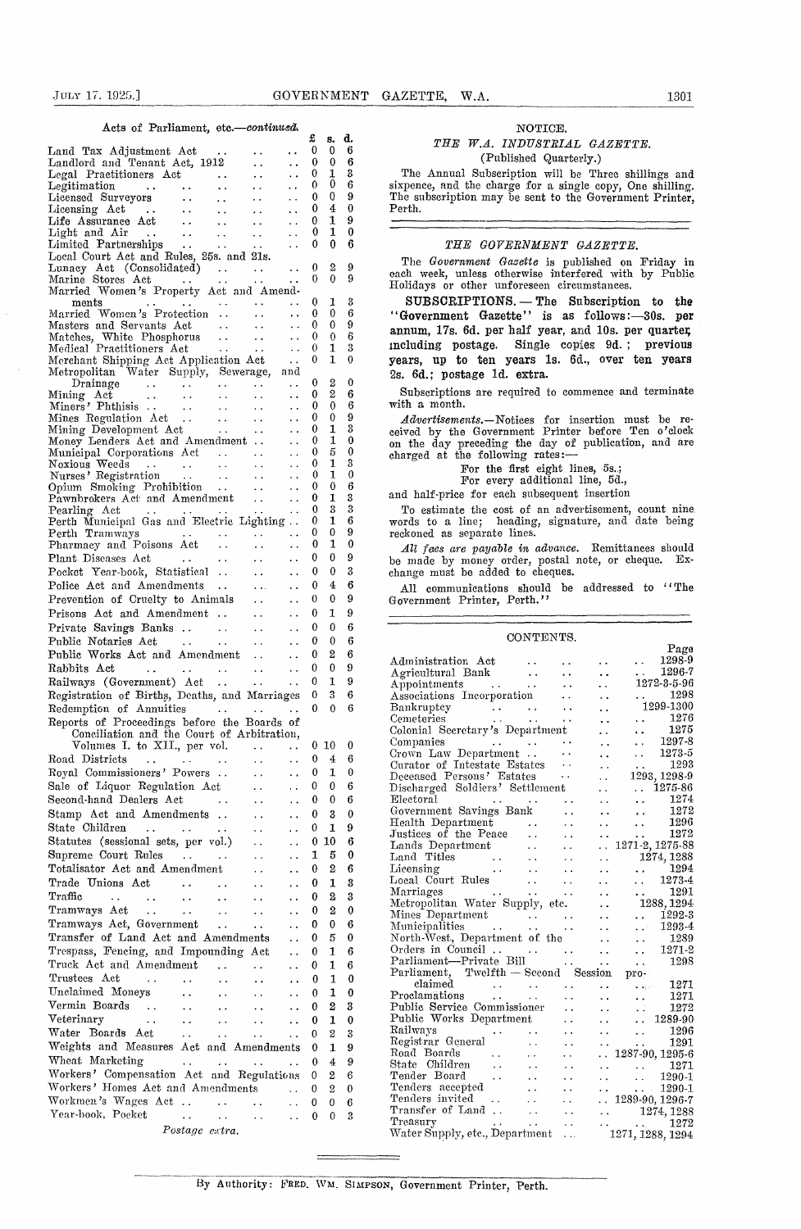#### Acts of Parliament, *etc.—continusd*

| or requirements<br>ouu.<br>-oolestikwood                                                                                                                                                                                                                     | £      | s.           | d.            |
|--------------------------------------------------------------------------------------------------------------------------------------------------------------------------------------------------------------------------------------------------------------|--------|--------------|---------------|
| Land Tax Adjustment Act<br>$\sim$ .<br>. .<br>Landlord and Tenant Act, 1912                                                                                                                                                                                  | 0<br>0 | 0<br>0       | 6<br>6        |
| . .<br>Legal Practitioners Act<br>. .<br>. .<br>$\sim$ 10 $\sigma$                                                                                                                                                                                           | 0      | 1            | 3             |
| $\ddot{\phantom{0}}$ .<br>i.<br>. .                                                                                                                                                                                                                          | 0      | 0            | 6             |
| . .<br>$\sim$ $\sim$                                                                                                                                                                                                                                         | 0<br>0 | 0<br>4       | 9<br>0        |
| Legitimation<br>Licensed Surveyors<br>Licensing Act<br>Life Assurance Act<br><br>$\ddot{\phantom{1}}$<br>$\sim$ .<br>$\ddot{\phantom{0}}$<br>$\sim$ $\sim$<br>. .<br>$\bullet$ $\bullet$                                                                     | 0      | 1            | 9             |
| Light and Air<br>Limited Partnerships<br>$\sim$ $\sim$<br>$\ddot{\phantom{0}}$<br>. .                                                                                                                                                                        | 0      | 1            | 0             |
| . .<br>$\ddot{\phantom{a}}$<br>$\ddotsc$<br>Local Court Act and Rules, 25s. and 21s.                                                                                                                                                                         | 0      | 0            | 6             |
| Lunacy Act (Consolidated)<br>$\sim 100$ km $^{-1}$<br>$\ddot{\phantom{0}}$                                                                                                                                                                                   | 0      | 2            | 9             |
| Marine Stores Act<br>$\ddotsc$<br>. .                                                                                                                                                                                                                        | 0      | 0            | 9             |
| Married Women's Property Act and Amend-                                                                                                                                                                                                                      |        |              |               |
| ments<br>$\ddot{\phantom{0}}$<br>$\ddot{\phantom{0}}$<br>Married Women's Protection<br>$\ddot{\phantom{0}}$<br>$\ddot{\phantom{1}}$                                                                                                                          | 0<br>0 | 1<br>0       | 3<br>6        |
| $\sim 10^{-1}$<br>$\sim$ $\sim$<br>$\ddotsc$                                                                                                                                                                                                                 | 0      | 0            | 9             |
| Married Women<br>Masters and Servants Act<br>Matches, White Phosphorus<br>Natches, Departitioners Act<br>$\sim 10^{-1}$<br>$\ddot{\phantom{1}}$                                                                                                              | 0<br>0 | 0            | 6<br>3        |
| $\sim 10^{-1}$<br>$\ddot{\phantom{1}}$<br>Merchant Shipping Act Application Act                                                                                                                                                                              | 0      | 1<br>1       | 0             |
| Merchant Shipping Act Application Act<br>Metropolitan Water Supply, Sewerage, and                                                                                                                                                                            |        |              |               |
| Drainage<br>Mining Act<br>Miners' Phthisis<br>Mines Regulation Act<br>Mining Development Act<br>Mining Development Act<br>. .                                                                                                                                | 0      | 2<br>2       | 0             |
| $\ddot{\phantom{1}}$<br>$\ddot{\phantom{1}}$ .<br><b>Contract</b><br>$\sim 100$<br>. .                                                                                                                                                                       | 0<br>0 | 0            | 6<br>6        |
| $\ddot{\phantom{0}}$                                                                                                                                                                                                                                         | 0      | 0            | 9             |
| $\frac{1}{2} \frac{1}{2} \frac{1}{2} \frac{1}{2} \frac{1}{2} \frac{1}{2} \frac{1}{2}$<br>$\ddot{\phantom{1}}$                                                                                                                                                | 0      | 1            | 3             |
| Money Lenders Act and Amendment<br>$\ddot{\phantom{0}}$<br>$\ddot{\phantom{0}}$                                                                                                                                                                              | 0<br>0 | 1<br>5       | $\bf{0}$<br>0 |
| Municipal Corporations Act<br>Noxious Weeds<br>Nurses' Registration<br>Opium Smoking Prohibition<br><br>$\frac{1}{2}$ , $\frac{1}{2}$<br>$\ddot{\phantom{0}}$                                                                                                | 0      | 1            | 3             |
| $\sim 10^6$<br>$\ddotsc$                                                                                                                                                                                                                                     | 0      | 1            | $\mathbf 0$   |
| Opium Smoking Prohibition<br>Pawnbrokers Act and Amendment<br>$\ddot{\phantom{0}}$<br>$\ddot{\phantom{0}}$                                                                                                                                                   | 0<br>0 | 0<br>1       | 6<br>3        |
| Pearling Act<br>$\sim 100$ km s $^{-1}$<br>$\ddot{\phantom{1}}$<br>$\ddotsc$                                                                                                                                                                                 | 0      | 3            | 3             |
| Perth Municipal Gas and Electric Lighting                                                                                                                                                                                                                    | 0      | 1            | 6             |
| Perth Tramways<br>$\ddotsc$<br>$\sim$ $\sim$<br>Pharmacy and Poisons Act                                                                                                                                                                                     | 0<br>0 | 0<br>1       | 9<br>0        |
| $\ddot{\phantom{0}}$<br>$\ddot{\phantom{0}}$<br>Plant Diseases Act<br>$\ddot{\phantom{0}}$ .<br>$\sim$ $\sim$<br>$\ddot{\phantom{1}}$                                                                                                                        | 0      | 0            | 9             |
| Pocket Year-book, Statistical<br>$\mathbf{z}$ , $\mathbf{z}$ , $\mathbf{z}$<br>Ω,                                                                                                                                                                            | 0      | 0            | 3             |
| Police Act and Amendments<br>$\mathbf{1}$ , and $\mathbf{1}$<br>$\ddotsc$                                                                                                                                                                                    | 0      | 4            | 6             |
| Prevention of Cruelty to Animals<br>$\sim$<br>. .                                                                                                                                                                                                            | 0      | 0            | 9             |
| Prisons Act and Amendment<br>$\ddot{\phantom{a}}$<br>. .                                                                                                                                                                                                     | 0      | 1            | 9             |
| Private Savings Banks<br>$\sim$ $\sim$<br>. .                                                                                                                                                                                                                | 0      | 0            | 6             |
| Public Notaries Act<br>$\mathcal{L}^{\mathcal{L}}$ , and $\mathcal{L}^{\mathcal{L}}$ , and $\mathcal{L}^{\mathcal{L}}$<br>$\epsilon$ .<br>. .                                                                                                                | 0      | 0            | 6             |
| Public Works Act and Amendment<br>$\ddot{\phantom{0}}$                                                                                                                                                                                                       | 0      | 2            | 6             |
| Rabbits Act<br>$\sim$<br>$\ddot{\phantom{0}}$<br>$\ddot{\phantom{a}}$ .                                                                                                                                                                                      | 0<br>0 | 0<br>1       | 9<br>9        |
| Railways (Government) Act<br>$\sim$ $\sim$ $\sim$<br>$\ddot{\phantom{0}}$<br>Registration of Births, Deaths, and Marriages                                                                                                                                   | 0      | 3            | 6             |
| Redemption of Annuities<br>$\ddot{\phantom{a}}$                                                                                                                                                                                                              | 0      | 0            | 6             |
| Reports of Proceedings before the Boards of                                                                                                                                                                                                                  |        |              |               |
| Conciliation and the Court of Arbitration,                                                                                                                                                                                                                   |        |              |               |
| Volumes I. to XII., per vol.<br>$\sim 100$ km $^{-1}$<br>$\ddot{\phantom{1}}$ .                                                                                                                                                                              | 0      | $0\,10$<br>4 | 0<br>6        |
| Road Districts<br>÷,<br>$\mathcal{L}^{\mathcal{A}}$ , where $\mathcal{L}^{\mathcal{A}}$ is the contribution of the contribution of $\mathcal{L}^{\mathcal{A}}$<br>$\mathbf{r} \cdot \mathbf{r} = \mathbf{r} \cdot \mathbf{r}$<br>Royal Commissioners' Powers | 0      | 1            | 0             |
| Sale of Liquor Regulation Act<br>۰,                                                                                                                                                                                                                          | 0      | 0            | 6             |
| Second-hand Dealers Act<br>. .                                                                                                                                                                                                                               | 0      | 0            | 6             |
| Stamp Act and Amendments<br>. .                                                                                                                                                                                                                              | 0      | 3            | 0             |
| State Children<br>$\ldots$<br>$\ddot{\phantom{1}}$<br>$\ddot{\phantom{1}}$<br>. .                                                                                                                                                                            | 0      | 1            | 9             |
| Statutes (sessional sets, per vol.)<br>. .                                                                                                                                                                                                                   | 0      | 10           | 6             |
| Supreme Court Rules<br>$\sim 100$<br>$\sim 100$ km s $^{-1}$<br>. .                                                                                                                                                                                          | 1      | 5            | 0             |
| Totalisator Act and Amendment<br>. .                                                                                                                                                                                                                         | 0      | 2            | 6             |
| Trade Unions Act<br>$\ddot{\phantom{a}}$<br>$\ddot{\phantom{1}}$<br>$\ddot{\phantom{0}}$                                                                                                                                                                     | 0      | 1            | 3             |
| Traffic<br>$\ddot{\phantom{1}}$<br>$\ddot{\phantom{a}}$ .<br>$\ddotsc$<br>. .<br>$\ddot{\phantom{0}}$<br>. .<br>Tramways Act                                                                                                                                 | 0<br>0 | 2<br>2       | 3<br>0        |
| $\sim$ $\sim$<br>$\ddot{\phantom{0}}$<br>. .<br>$\ddot{\phantom{0}}$<br>$\ddot{\phantom{1}}$<br>Tramways Act, Government<br>$\ddot{\phantom{a}}$<br>$\ddot{\phantom{0}}$<br>. .                                                                              | 0      | 0            | 6             |
| Transfer of Land Act and Amendments<br>. .                                                                                                                                                                                                                   | 0      | 5            | 0             |
| Trespass, Fencing, and Impounding Act<br>. .                                                                                                                                                                                                                 | 0      | 1            | 6             |
| Truck Act and Amendment<br>$\ddot{\phantom{0}}$<br>$\ddot{\phantom{0}}$<br>. .                                                                                                                                                                               | 0      | 1            | 6             |
| Trustees Act<br>. .<br>$\ddot{\phantom{0}}$                                                                                                                                                                                                                  | 0      | 1            | 0             |
| Unclaimed Moneys<br>$\ddot{\phantom{0}}$<br>. .                                                                                                                                                                                                              | 0      | 1            | 0             |
| Vermin Boards<br>$\sim$ 10 $\pm$<br>. .                                                                                                                                                                                                                      | 0      | 2            | 3             |
| Veterinary<br>$\ddotsc$<br>$\ddotsc$<br>. .<br>$\ddot{\phantom{1}}$                                                                                                                                                                                          | 0      | 1            | 0             |
| Water Boards Act<br>$\ddot{\phantom{0}}$<br>. .<br>$\ddot{\phantom{a}}$<br>. .<br>Weights and Measures Act and Amendments                                                                                                                                    | 0<br>0 | 2<br>1       | 3<br>9        |
| Wheat Marketing<br>$\sim 10^{-1}$<br>22<br>$\sim$ $\sim$<br>$\ddot{\phantom{a}}$                                                                                                                                                                             | 0      | 4            | 9             |
| Workers' Compensation Act and Regulations                                                                                                                                                                                                                    | 0      | 2            | 6             |
| Workers' Homes Act and Amendments<br>$\ddot{\phantom{0}}$                                                                                                                                                                                                    | 0      | 2            | 0             |
| Workmen's Wages Act<br>$\ddot{\phantom{a}}$ .<br>$\ddot{\phantom{1}}$<br>$\ddot{\phantom{0}}$                                                                                                                                                                | 0      | 0            | 6             |
| Year-book, Pocket<br>$\sim$ $\sim$<br>$\ddot{\phantom{0}}$<br>.,<br>. .                                                                                                                                                                                      | 0      | 0            | 3             |
| Postage extra.                                                                                                                                                                                                                                               |        |              |               |

### NOTICE.

#### *THE W.A. INDUSTRIAL GAZETTE.* (Published Quarterly.)

The Annual Subscription will be Three shillings and sixpence, and the charge for a single copy, One shilling. The subscription may be sent to the Government Printer, Perth.

#### *THE GOVERNMENT GAZETTE.*

The *Government Gazette* is published on Friday in each week, unless otherwise interfered with by Public Holidays or other unforeseen circumstances.

SUBSCRIPTIONS. - The Subscription to the "Government Gazette" is as follows: -30s. per annum, 17s. 6d. per half year, and 10s. per quarter, including postage. Single copies 9d. ; previous years, up to ten years 1s. 6d., over ten years 2s. 6d.; postage id. extra.

Subscriptions are required to commence and terminate with a month.

*Advertisements.—Notices* for insertion must be received by the Government Printer before Ten o'clock on the day preceding the day of publication, and are charged at the following rates:

For the first eight lines, 5s..;

For every additional line, 5d.,

and half-price for each subsequent insertion

To estimate the cost of an advertisement, count nine, words to a line; heading, signature, and date being reckoned as separate lines.

*All fees are payable in advance.* Remittances should be made by money order, postal note, or cheque. Exchange must be added to cheques.

All communications should be addressed to "The Government Printer, Perth."

#### CONTENTS.

|                                                                                                                                                                                                                                                                                                                                                                                                                                                                                               |                      |                      |                               | Page                                                    |
|-----------------------------------------------------------------------------------------------------------------------------------------------------------------------------------------------------------------------------------------------------------------------------------------------------------------------------------------------------------------------------------------------------------------------------------------------------------------------------------------------|----------------------|----------------------|-------------------------------|---------------------------------------------------------|
| Administration Act                                                                                                                                                                                                                                                                                                                                                                                                                                                                            |                      |                      |                               | 1298-9                                                  |
| Agricultural Bank                                                                                                                                                                                                                                                                                                                                                                                                                                                                             | $\ddot{\phantom{1}}$ |                      |                               | 1296-7                                                  |
| ank $\cdots$<br>Appointments                                                                                                                                                                                                                                                                                                                                                                                                                                                                  |                      |                      | . .                           | 1272-3-5-96                                             |
| Associations Incorporation                                                                                                                                                                                                                                                                                                                                                                                                                                                                    |                      |                      |                               | 1298                                                    |
|                                                                                                                                                                                                                                                                                                                                                                                                                                                                                               |                      |                      |                               | $\mathbf{L}$ and $\mathbf{L}$<br>1299-1300              |
| Bankruptcy<br>الحقاب العقد التي التي المناور<br>الحقاب العقد التي التي التي<br>Cemeteries                                                                                                                                                                                                                                                                                                                                                                                                     |                      |                      |                               | 1276                                                    |
| $\sim 10^{-1}$                                                                                                                                                                                                                                                                                                                                                                                                                                                                                |                      |                      |                               | a a con<br>1275                                         |
| Colonial Secretary's Department                                                                                                                                                                                                                                                                                                                                                                                                                                                               |                      |                      |                               | 1297-8                                                  |
| Companies<br>$\cdots$                                                                                                                                                                                                                                                                                                                                                                                                                                                                         |                      | $\ddot{\phantom{0}}$ |                               | 1273-5                                                  |
| Crown Law Department                                                                                                                                                                                                                                                                                                                                                                                                                                                                          |                      | $\ddot{\phantom{a}}$ |                               |                                                         |
| Curator of Intestate Estates                                                                                                                                                                                                                                                                                                                                                                                                                                                                  |                      |                      |                               | 1293<br>$\ddot{\phantom{0}}$                            |
| Deceased Persons' Estates                                                                                                                                                                                                                                                                                                                                                                                                                                                                     |                      | Ϋ.                   |                               | 1293, 1298-9                                            |
| Discharged Soldiers' Settlement                                                                                                                                                                                                                                                                                                                                                                                                                                                               |                      |                      |                               | $\ldots$ 1275-86                                        |
| Electoral                                                                                                                                                                                                                                                                                                                                                                                                                                                                                     | $\ddot{\phantom{0}}$ |                      |                               | 1274                                                    |
|                                                                                                                                                                                                                                                                                                                                                                                                                                                                                               |                      |                      |                               | 1272<br>$\ddot{\phantom{1}}$                            |
| Health Department                                                                                                                                                                                                                                                                                                                                                                                                                                                                             | $\ddot{\phantom{0}}$ |                      |                               | 1296<br>$\ddot{\phantom{0}}$                            |
| Justices of the Peace                                                                                                                                                                                                                                                                                                                                                                                                                                                                         | $\ddot{\phantom{0}}$ |                      |                               | 1272<br>$\ddot{\phantom{0}}$                            |
| Lands Department                                                                                                                                                                                                                                                                                                                                                                                                                                                                              | $\ddot{\phantom{0}}$ |                      | . .                           | 1271-2, 1275-88                                         |
| Land Titles<br>$\sim 10^{11}$ and $\sim 10^{11}$                                                                                                                                                                                                                                                                                                                                                                                                                                              |                      |                      |                               | 1274,1288                                               |
| $\mathcal{L}_{\text{max}}$ and $\mathcal{L}_{\text{max}}$<br>Licensing                                                                                                                                                                                                                                                                                                                                                                                                                        |                      |                      | $\ddot{\phantom{0}}$          | 1294<br>$\ddot{\phantom{0}}$                            |
| Local Court Rules                                                                                                                                                                                                                                                                                                                                                                                                                                                                             | $\ddot{\phantom{a}}$ |                      | e a l                         | $\mathbf{L}$<br>1273-4                                  |
| Marriages                                                                                                                                                                                                                                                                                                                                                                                                                                                                                     | $\ddot{\phantom{0}}$ |                      | . .                           | 1291<br>$\mathbf{r}$ , $\mathbf{r}$ , $\mathbf{r}$      |
| Metropolitan Water Supply, etc.                                                                                                                                                                                                                                                                                                                                                                                                                                                               |                      |                      |                               | 1288, 1294                                              |
| Mines Department                                                                                                                                                                                                                                                                                                                                                                                                                                                                              |                      |                      |                               | 1292-3<br>$\cdots$                                      |
| $\begin{array}{ccccccccc}\n\text{ent} & & \dots & & \dots\\ \vdots & & \vdots & & \vdots\n\end{array}$<br>Municipalities                                                                                                                                                                                                                                                                                                                                                                      |                      | $\sim$ $\sim$        |                               | i in<br>1293-4                                          |
| North-West, Department of the                                                                                                                                                                                                                                                                                                                                                                                                                                                                 |                      |                      |                               | 1289<br>$\ddot{\phantom{a}}$                            |
| Orders in Council                                                                                                                                                                                                                                                                                                                                                                                                                                                                             |                      |                      | $\ddot{\phantom{0}}$          | 1271-2<br>. .                                           |
|                                                                                                                                                                                                                                                                                                                                                                                                                                                                                               |                      |                      | $\ddot{\phantom{a}}$          | 1298<br>in 1                                            |
| Parliament, Twelfth - Second Session                                                                                                                                                                                                                                                                                                                                                                                                                                                          |                      |                      |                               | pro-                                                    |
| claimed                                                                                                                                                                                                                                                                                                                                                                                                                                                                                       |                      |                      |                               | 1271<br>$\sim 10^{11}$                                  |
| $\mathcal{L}(\mathcal{L}(\mathcal{L}(\mathcal{L}(\mathcal{L}(\mathcal{L}(\mathcal{L}(\mathcal{L}(\mathcal{L}(\mathcal{L}(\mathcal{L}(\mathcal{L}(\mathcal{L}(\mathcal{L}(\mathcal{L}(\mathcal{L}(\mathcal{L}(\mathcal{L}(\mathcal{L}(\mathcal{L}(\mathcal{L}(\mathcal{L}(\mathcal{L}(\mathcal{L}(\mathcal{L}(\mathcal{L}(\mathcal{L}(\mathcal{L}(\mathcal{L}(\mathcal{L}(\mathcal{L}(\mathcal{L}(\mathcal{L}(\mathcal{L}(\mathcal{L}(\mathcal{L}(\mathcal{$<br>$\bf P$ roclamations<br>$\sim$ |                      | $\ddot{\phantom{a}}$ |                               | 1271                                                    |
| Public Service Commissioner                                                                                                                                                                                                                                                                                                                                                                                                                                                                   |                      |                      |                               | $\ddot{\phantom{a}}$<br>1272                            |
| Public Works Department                                                                                                                                                                                                                                                                                                                                                                                                                                                                       |                      |                      |                               | . .                                                     |
|                                                                                                                                                                                                                                                                                                                                                                                                                                                                                               |                      |                      |                               | 1289-90<br>$\ddotsc$                                    |
| Railways                                                                                                                                                                                                                                                                                                                                                                                                                                                                                      | . .                  |                      |                               | 1296<br>$\ddot{\phantom{0}}$                            |
| Registrar General                                                                                                                                                                                                                                                                                                                                                                                                                                                                             | $\ddot{\phantom{a}}$ |                      |                               | 1291<br>$\sim 10^{-1}$                                  |
| Road Boards                                                                                                                                                                                                                                                                                                                                                                                                                                                                                   |                      |                      | $\ddotsc$                     | 1287-90, 1295-6                                         |
| State Children                                                                                                                                                                                                                                                                                                                                                                                                                                                                                |                      |                      |                               | 1271                                                    |
| Tender Board<br>$\ddotsc$<br>Tenders accepted                                                                                                                                                                                                                                                                                                                                                                                                                                                 |                      |                      | $\mathcal{L}_{\mathcal{F}}$ . | $\mathbf{L}$<br>1290-1                                  |
|                                                                                                                                                                                                                                                                                                                                                                                                                                                                                               | μ.                   |                      | $\ddot{\phantom{0}}$          | $\ldots$ 1290-1                                         |
| Tenders invited<br>$\sim 10^7$                                                                                                                                                                                                                                                                                                                                                                                                                                                                | $\ddotsc$            |                      |                               | $\ldots$ 1289-90, 1296-7                                |
| Transfer of Land                                                                                                                                                                                                                                                                                                                                                                                                                                                                              | $\sim$ 14            |                      |                               | $\cdots$ 1274, 1288                                     |
| Treasury<br>and the state                                                                                                                                                                                                                                                                                                                                                                                                                                                                     | $\ddot{\phantom{a}}$ |                      |                               |                                                         |
| Water Supply, etc., Department                                                                                                                                                                                                                                                                                                                                                                                                                                                                |                      | .                    |                               | $\begin{array}{c} 1272 \\ 1271, 1288, 1294 \end{array}$ |